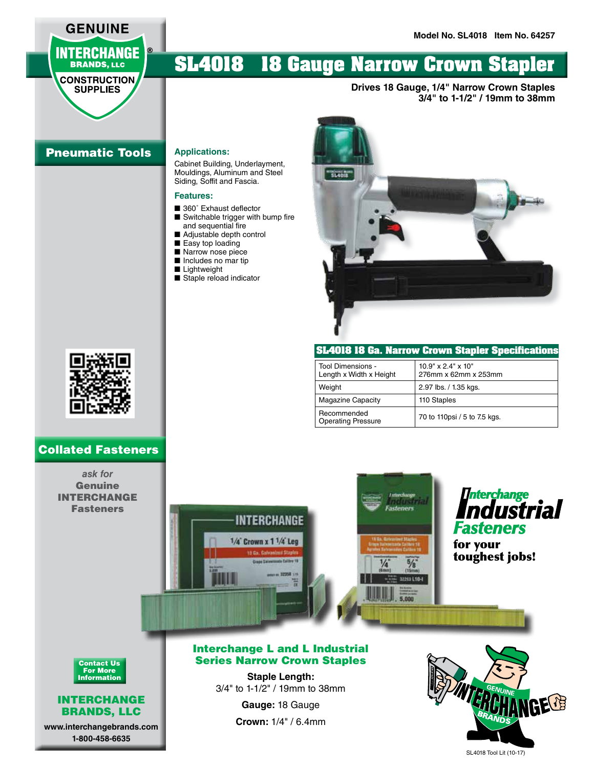## **GENUINE INTERCHANGE BRANDS, LLC**

#### **CONSTRUCTION SUPPLIES**

# **SL4018 18 Gauge Narrow Crown Stapler**

**Drives 18 Gauge, 1/4" Narrow Crown Staples 3/4" to 1-1/2" / 19mm to 38mm**

## Pneumatic Tools

**Applications:**

Cabinet Building, Underlayment, Mouldings, Aluminum and Steel Siding, Soffit and Fascia.

#### **Features:**

- 360° Exhaust deflector
- Switchable trigger with bump fire and sequential fire
- Adjustable depth control
- Easy top loading
- Narrow nose piece
- Includes no mar tip
- Lightweight
- Staple reload indicator



#### **SL4018 18 Ga. Narrow Crown Stapler Specifications**

| Tool Dimensions -<br>Length x Width x Height | $10.9" \times 2.4" \times 10"$<br>276mm x 62mm x 253mm |
|----------------------------------------------|--------------------------------------------------------|
| Weight                                       | 2.97 lbs. / 1.35 kgs.                                  |
| <b>Magazine Capacity</b>                     | 110 Staples                                            |
| Recommended<br><b>Operating Pressure</b>     | 70 to 110psi / 5 to 7.5 kgs.                           |



### Collated Fasteners

*ask for*  Genuine INTERCHANGE Fasteners





**Staple Length:** 3/4" to 1-1/2" / 19mm to 38mm

> **Gauge:** 18 Gauge **Crown:** 1/4" / 6.4mm



Contact Us For More Information

#### INTERCHANGE BRANDS, LLC

**www.interchangebrands.com 1-800-458-6635**